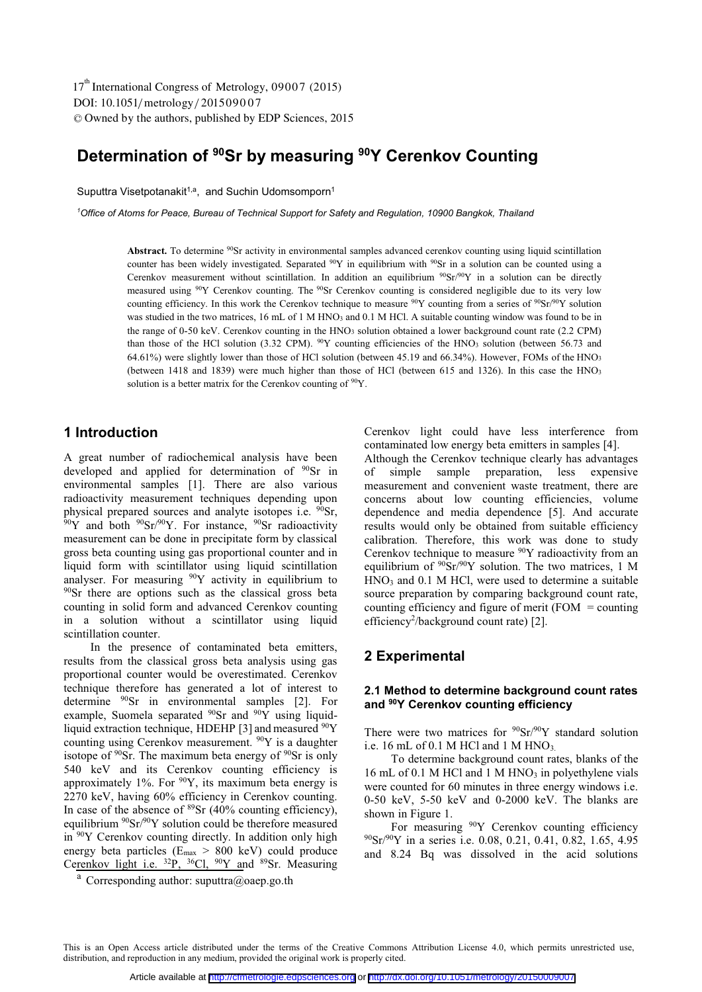DOI: 10.1051/metrology/201509007 -<sup>C</sup> Owned by the authors, published by EDP Sciences, 2015 17<sup>th</sup> International Congress of Metrology, 09007 (2015)

# **Determination of 90Sr by measuring 90Y Cerenkov Counting**

Suputtra Visetpotanakit<sup>1,a</sup>, and Suchin Udomsomporn<sup>1</sup>

<sup>1</sup> Office of Atoms for Peace, Bureau of Technical Support for Safety and Regulation, 10900 Bangkok, Thailand

Abstract. To determine <sup>90</sup>Sr activity in environmental samples advanced cerenkov counting using liquid scintillation counter has been widely investigated. Separated  $^{90}Y$  in equilibrium with  $^{90}Sr$  in a solution can be counted using a Cerenkov measurement without scintillation. In addition an equilibrium  $\frac{90}{Sr}$  or  $\gamma$  in a solution can be directly measured using <sup>90</sup>Y Cerenkov counting. The <sup>90</sup>Sr Cerenkov counting is considered negligible due to its very low counting efficiency. In this work the Cerenkov technique to measure  $90Y$  counting from a series of  $90Sr/90Y$  solution was studied in the two matrices, 16 mL of 1 M HNO<sub>3</sub> and 0.1 M HCl. A suitable counting window was found to be in the range of 0-50 keV. Cerenkov counting in the HNO<sub>3</sub> solution obtained a lower background count rate (2.2 CPM) than those of the HCl solution (3.32 CPM).  $^{90}Y$  counting efficiencies of the HNO<sub>3</sub> solution (between 56.73 and 64.61%) were slightly lower than those of HCl solution (between 45.19 and 66.34%). However, FOMs of the HNO3 (between 1418 and 1839) were much higher than those of HCl (between 615 and 1326). In this case the HNO3 solution is a better matrix for the Cerenkov counting of  $90Y$ .

## **1 Introduction**

A great number of radiochemical analysis have been developed and applied for determination of <sup>90</sup>Sr in environmental samples [1]. There are also various radioactivity measurement techniques depending upon physical prepared sources and analyte isotopes i.e.  $\frac{90}{9}$ Sr,  $\frac{90}{9}$ Y and both  $\frac{90}{9}$ Sr/ $\frac{90}{9}$ Sr radioactivity measurement can be done in precipitate form by classical gross beta counting using gas proportional counter and in liquid form with scintillator using liquid scintillation analyser. For measuring  $\frac{90Y}{Y}$  activity in equilibrium to <sup>90</sup>Sr there are options such as the classical gross beta counting in solid form and advanced Cerenkov counting in a solution without a scintillator using liquid scintillation counter.

In the presence of contaminated beta emitters, results from the classical gross beta analysis using gas proportional counter would be overestimated. Cerenkov technique therefore has generated a lot of interest to determine 90Sr in environmental samples [2]. For example, Suomela separated <sup>90</sup>Sr and <sup>90</sup>Y using liquidliquid extraction technique, HDEHP [3] and measured <sup>90</sup>Y counting using Cerenkov measurement. 90Y is a daughter isotope of  $90$ Sr. The maximum beta energy of  $90$ Sr is only 540 keV and its Cerenkov counting efficiency is approximately 1%. For  $90Y$ , its maximum beta energy is 2270 keV, having 60% efficiency in Cerenkov counting. In case of the absence of  $89Sr$  (40% counting efficiency), equilibrium  $90Sr/90Y$  solution could be therefore measured in 90Y Cerenkov counting directly. In addition only high energy beta particles (Emax > 800 keV) could produce Cerenkov light i.e.  $^{32}P$ ,  $^{36}Cl$ ,  $^{90}Y$  and  $^{89}Sr$ . Measuring Cerenkov light could have less interference from contaminated low energy beta emitters in samples [4].

Although the Cerenkov technique clearly has advantages of simple sample preparation, less expensive measurement and convenient waste treatment, there are concerns about low counting efficiencies, volume dependence and media dependence [5]. And accurate results would only be obtained from suitable efficiency calibration. Therefore, this work was done to study Cerenkov technique to measure <sup>90</sup>Y radioactivity from an equilibrium of  $90Sr/90Y$  solution. The two matrices, 1 M HNO<sub>3</sub> and 0.1 M HCl, were used to determine a suitable source preparation by comparing background count rate, counting efficiency and figure of merit  $(FOM = counting)$ efficiency<sup>2</sup>/background count rate) [2].

### **2 Experimental**

### **2.1 Method to determine background count rates and 90Y Cerenkov counting efficiency**

There were two matrices for  $90Sr/90Y$  standard solution i.e. 16 mL of 0.1 M HCl and 1 M HNO<sub>3.</sub>

To determine background count rates, blanks of the 16 mL of 0.1 M HCl and 1 M HNO<sub>3</sub> in polyethylene vials were counted for 60 minutes in three energy windows i.e. 0-50 keV, 5-50 keV and 0-2000 keV. The blanks are shown in Figure 1.

For measuring <sup>90</sup>Y Cerenkov counting efficiency 90Sr/90Y in a series i.e. 0.08, 0.21, 0.41, 0.82, 1.65, 4.95 and 8.24 Bq was dissolved in the acid solutions

This is an Open Access article distributed under the terms of the Creative Commons Attribution License 4.0, which permits unrestricted use, distribution, and reproduction in any medium, provided the original work is properly cited.

<sup>&</sup>lt;sup>a</sup> Corresponding author: suputtra@oaep.go.th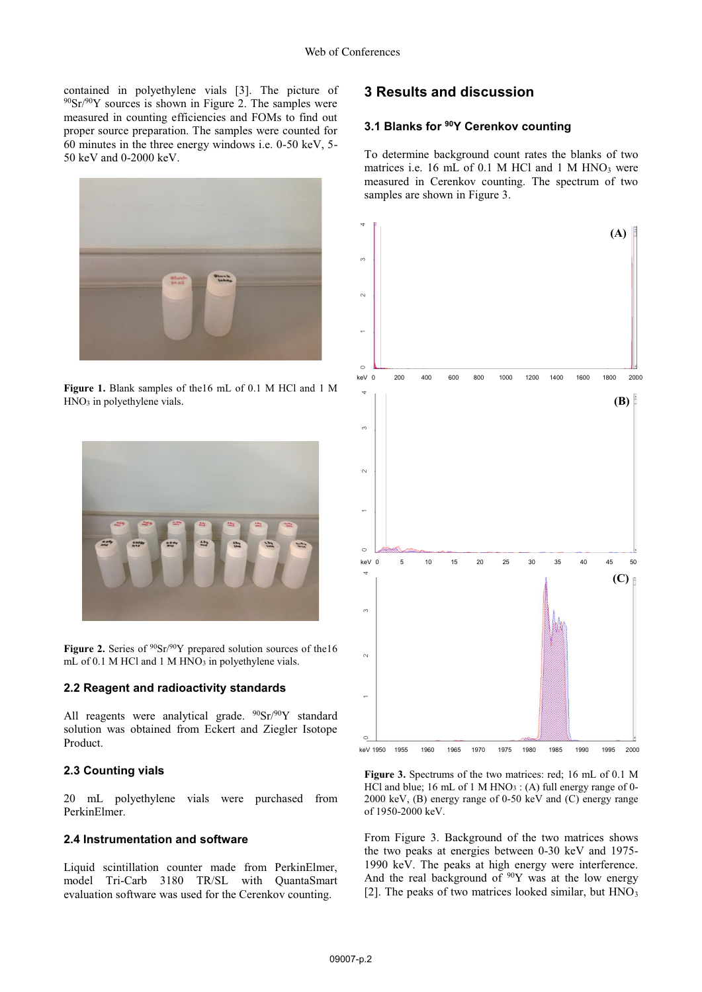contained in polyethylene vials [3]. The picture of  $90\text{Sr}/90\text{Y}$  sources is shown in Figure 2. The samples were measured in counting efficiencies and FOMs to find out proper source preparation. The samples were counted for 60 minutes in the three energy windows i.e. 0-50 keV, 5- 50 keV and 0-2000 keV.



**Figure 1.** Blank samples of the16 mL of 0.1 M HCl and 1 M HNO3 in polyethylene vials.



Figure 2. Series of  $90Sr/90Y$  prepared solution sources of the16 mL of 0.1 M HCl and 1 M HNO<sub>3</sub> in polyethylene vials.

#### **2.2 Reagent and radioactivity standards**

All reagents were analytical grade. <sup>90</sup>Sr/<sup>90</sup>Y standard solution was obtained from Eckert and Ziegler Isotope Product.

### **2.3 Counting vials**

20 mL polyethylene vials were purchased from PerkinElmer.

#### **2.4 Instrumentation and software**

Liquid scintillation counter made from PerkinElmer, model Tri-Carb 3180 TR/SL with QuantaSmart evaluation software was used for the Cerenkov counting.

### **3 Results and discussion**

### **3.1 Blanks for 90Y Cerenkov counting**

To determine background count rates the blanks of two matrices i.e. 16 mL of  $0.1$  M HCl and  $1$  M HNO<sub>3</sub> were measured in Cerenkov counting. The spectrum of two samples are shown in Figure 3.



**Figure 3.** Spectrums of the two matrices: red; 16 mL of 0.1 M HCl and blue; 16 mL of 1 M HNO<sub>3</sub> : (A) full energy range of 0-2000 keV, (B) energy range of 0-50 keV and (C) energy range of 1950-2000 keV.

From Figure 3. Background of the two matrices shows the two peaks at energies between 0-30 keV and 1975- 1990 keV. The peaks at high energy were interference. And the real background of  $90Y$  was at the low energy [2]. The peaks of two matrices looked similar, but  $HNO<sub>3</sub>$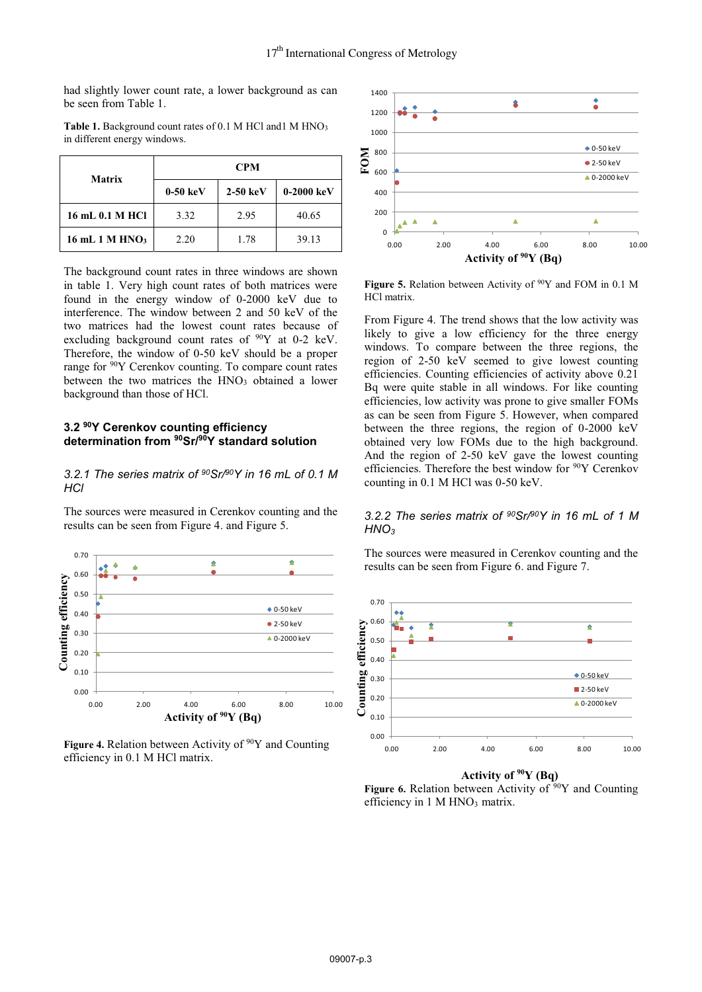had slightly lower count rate, a lower background as can be seen from Table 1.

| <b>Matrix</b>              | <b>CPM</b>          |            |              |
|----------------------------|---------------------|------------|--------------|
|                            | $0-50~\mathrm{keV}$ | $2-50$ keV | $0-2000$ keV |
| 16 mL 0.1 M HCl            | 3.32                | 2.95       | 40.65        |
| 16 mL 1 M HNO <sub>3</sub> | 2.20                | 1.78       | 39.13        |

Table 1. Background count rates of 0.1 M HCl and1 M HNO<sub>3</sub> in different energy windows.

The background count rates in three windows are shown in table 1. Very high count rates of both matrices were found in the energy window of 0-2000 keV due to interference. The window between 2 and 50 keV of the two matrices had the lowest count rates because of excluding background count rates of  $90Y$  at 0-2 keV. Therefore, the window of 0-50 keV should be a proper range for 90Y Cerenkov counting. To compare count rates between the two matrices the  $HNO<sub>3</sub>$  obtained a lower background than those of HCl.

### **3.2 90Y Cerenkov counting efficiency determination from 90Sr/90Y standard solution**

*3.2.1 The series matrix of 90Sr/90Y in 16 mL of 0.1 M HCl*

The sources were measured in Cerenkov counting and the results can be seen from Figure 4. and Figure 5.



Figure 4. Relation between Activity of <sup>90</sup>Y and Counting efficiency in 0.1 M HCl matrix.



Figure 5. Relation between Activity of <sup>90</sup>Y and FOM in 0.1 M HCl matrix.

From Figure 4. The trend shows that the low activity was likely to give a low efficiency for the three energy windows. To compare between the three regions, the region of 2-50 keV seemed to give lowest counting efficiencies. Counting efficiencies of activity above 0.21 Bq were quite stable in all windows. For like counting efficiencies, low activity was prone to give smaller FOMs as can be seen from Figure 5. However, when compared between the three regions, the region of 0-2000 keV obtained very low FOMs due to the high background. And the region of 2-50 keV gave the lowest counting efficiencies. Therefore the best window for 90Y Cerenkov counting in 0.1 M HCl was 0-50 keV.

### *3.2.2 The series matrix of 90Sr/90Y in 16 mL of 1 M HNO3*

The sources were measured in Cerenkov counting and the results can be seen from Figure 6. and Figure 7.



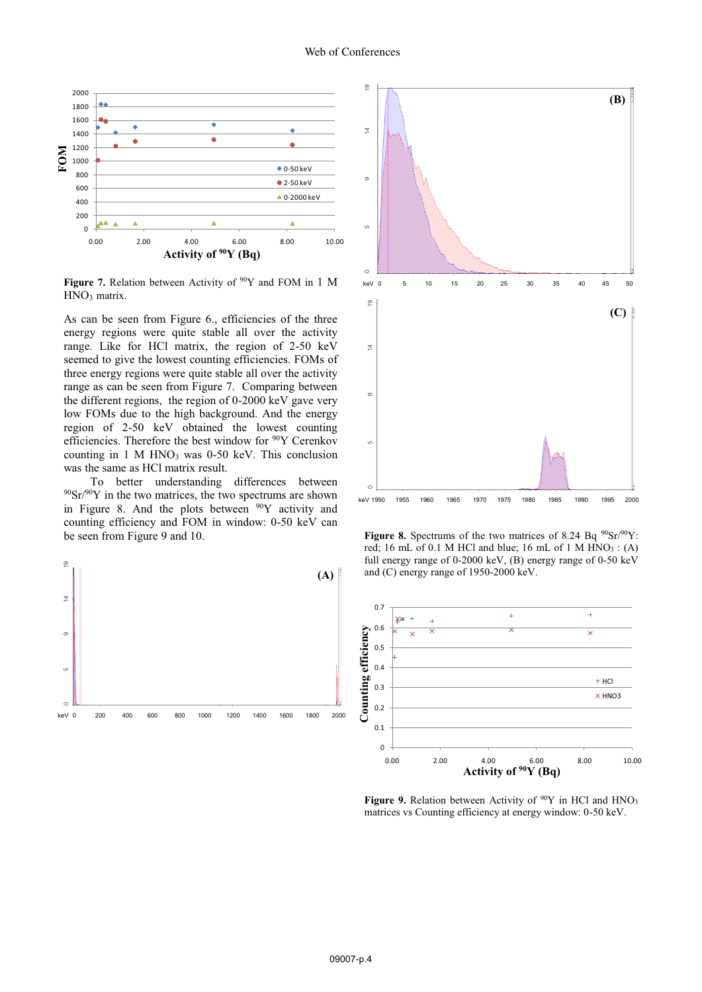

Figure 7. Relation between Activity of <sup>90</sup>Y and FOM in 1 M HNO<sub>3</sub> matrix.

As can be seen from Figure 6., efficiencies of the three energy regions were quite stable all over the activity range. Like for HCl matrix, the region of 2-50 keV seemed to give the lowest counting efficiencies. FOMs of three energy regions were quite stable all over the activity range as can be seen from Figure 7. Comparing between the different regions, the region of 0-2000 keV gave very low FOMs due to the high background. And the energy region of 2-50 keV obtained the lowest counting efficiencies. Therefore the best window for <sup>90</sup>Y Cerenkov counting in  $1$  M HNO<sub>3</sub> was  $0-50$  keV. This conclusion was the same as HCl matrix result.

To better understanding differences between  $90\text{Sr}/90\text{Y}$  in the two matrices, the two spectrums are shown in Figure 8. And the plots between  $90Y$  activity and counting efficiency and FOM in window: 0-50 keV can be seen from Figure 9 and 10.





**Figure 8.** Spectrums of the two matrices of 8.24 Bq  $90\text{Sr}/90\text{Y}$ : red; 16 mL of 0.1 M HCl and blue; 16 mL of 1 M HNO3 : (A) full energy range of 0-2000 keV, (B) energy range of 0-50 keV and (C) energy range of 1950-2000 keV.



**Figure 9.** Relation between Activity of  $90Y$  in HCl and HNO<sub>3</sub> matrices vs Counting efficiency at energy window: 0-50 keV.